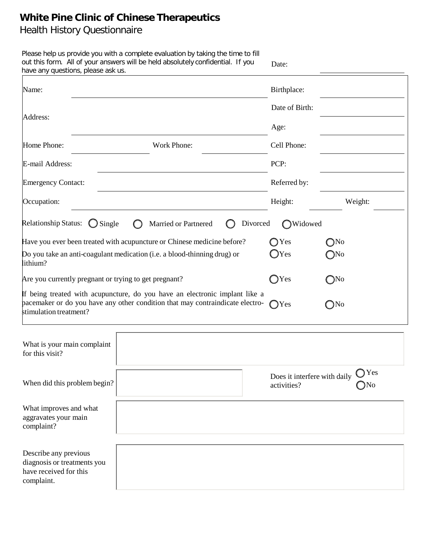# **White Pine Clinic of Chinese Therapeutics**

# Health History Questionnaire

| have any questions, please ask us.                                                           | Please help us provide you with a complete evaluation by taking the time to fill<br>out this form. All of your answers will be held absolutely confidential. If you                     | Date:                                       |                                |
|----------------------------------------------------------------------------------------------|-----------------------------------------------------------------------------------------------------------------------------------------------------------------------------------------|---------------------------------------------|--------------------------------|
| Name:                                                                                        |                                                                                                                                                                                         | Birthplace:                                 |                                |
| Address:                                                                                     |                                                                                                                                                                                         | Date of Birth:                              |                                |
|                                                                                              |                                                                                                                                                                                         | Age:                                        |                                |
| Home Phone:                                                                                  | Work Phone:                                                                                                                                                                             | Cell Phone:                                 |                                |
| E-mail Address:                                                                              |                                                                                                                                                                                         | PCP:                                        |                                |
| <b>Emergency Contact:</b>                                                                    |                                                                                                                                                                                         | Referred by:                                |                                |
| Occupation:                                                                                  |                                                                                                                                                                                         | Height:                                     | Weight:                        |
| <b>Relationship Status:</b><br>$\bigcirc$ Single<br>lithium?                                 | Divorced<br>Married or Partnered<br>Have you ever been treated with acupuncture or Chinese medicine before?<br>Do you take an anti-coagulant medication (i.e. a blood-thinning drug) or | Widowed<br>$\bigcirc$ Yes<br>$\bigcirc$ Yes | $\bigcirc$ No<br>$\bigcirc$ No |
| Are you currently pregnant or trying to get pregnant?                                        |                                                                                                                                                                                         | $\bigcirc$ Yes                              | $\bigcirc$ No                  |
| stimulation treatment?                                                                       | If being treated with acupuncture, do you have an electronic implant like a<br>pacemaker or do you have any other condition that may contraindicate electro-                            | $\bigcap$ Yes                               | $\bigcirc$ No                  |
| What is your main complaint<br>for this visit?                                               |                                                                                                                                                                                         |                                             |                                |
| When did this problem begin?                                                                 |                                                                                                                                                                                         | Does it interfere with daily<br>activities? | $\bigcap$ Yes<br>$N_0$         |
| What improves and what<br>aggravates your main<br>complaint?                                 |                                                                                                                                                                                         |                                             |                                |
| Describe any previous<br>diagnosis or treatments you<br>have received for this<br>complaint. |                                                                                                                                                                                         |                                             |                                |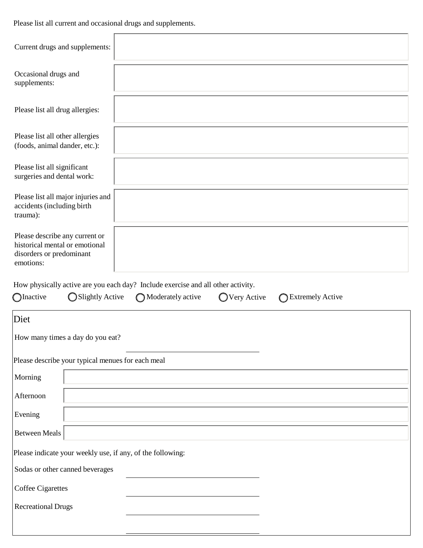Please list all current and occasional drugs and supplements.

| Current drugs and supplements:                                                                            |                                                                                                                                              |
|-----------------------------------------------------------------------------------------------------------|----------------------------------------------------------------------------------------------------------------------------------------------|
| Occasional drugs and<br>supplements:                                                                      |                                                                                                                                              |
| Please list all drug allergies:                                                                           |                                                                                                                                              |
| Please list all other allergies<br>(foods, animal dander, etc.):                                          |                                                                                                                                              |
| Please list all significant<br>surgeries and dental work:                                                 |                                                                                                                                              |
| Please list all major injuries and<br>accidents (including birth<br>trauma):                              |                                                                                                                                              |
| Please describe any current or<br>historical mental or emotional<br>disorders or predominant<br>emotions: |                                                                                                                                              |
|                                                                                                           |                                                                                                                                              |
| <b>O</b> Inactive<br>Slightly Active                                                                      | How physically active are you each day? Include exercise and all other activity.<br>Moderately active<br>◯ Very Active<br>◯ Extremely Active |
| Diet                                                                                                      |                                                                                                                                              |
| How many times a day do you eat?                                                                          |                                                                                                                                              |
| Please describe your typical menues for each meal                                                         |                                                                                                                                              |
| Morning                                                                                                   |                                                                                                                                              |
| Afternoon                                                                                                 |                                                                                                                                              |
| Evening                                                                                                   |                                                                                                                                              |
| Between Meals                                                                                             |                                                                                                                                              |
| Please indicate your weekly use, if any, of the following:                                                |                                                                                                                                              |
| Sodas or other canned beverages                                                                           |                                                                                                                                              |
| Coffee Cigarettes                                                                                         |                                                                                                                                              |
| <b>Recreational Drugs</b>                                                                                 |                                                                                                                                              |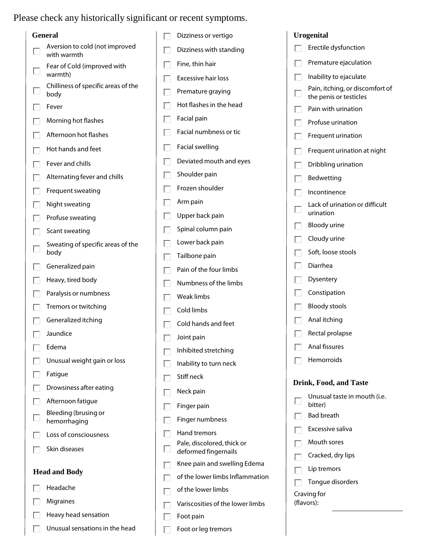## Please check any historically significant or recent symptoms.

| <b>General</b>                                | Dizziness or vertigo                               | <b>Urogenital</b>                                              |
|-----------------------------------------------|----------------------------------------------------|----------------------------------------------------------------|
| Aversion to cold (not improved<br>with warmth | Dizziness with standing                            | Erectile dysfunction                                           |
| Fear of Cold (improved with<br>warmth)        | Fine, thin hair                                    | Premature ejaculation                                          |
| Chilliness of specific areas of the           | <b>Excessive hair loss</b>                         | Inability to ejaculate                                         |
| body                                          | Premature graying                                  | Pain, itching, or discomfort of<br>∟<br>the penis or testicles |
| Fever                                         | Hot flashes in the head                            | Pain with urination                                            |
| Morning hot flashes                           | Facial pain                                        | Profuse urination<br>Г                                         |
| Afternoon hot flashes                         | Facial numbness or tic                             | Frequent urination                                             |
| Hot hands and feet                            | <b>Facial swelling</b>                             | Frequent urination at night                                    |
| Fever and chills                              | Deviated mouth and eyes                            | Dribbling urination                                            |
| Alternating fever and chills                  | Shoulder pain                                      | Bedwetting<br>L                                                |
| Frequent sweating                             | Frozen shoulder                                    | Incontinence                                                   |
| Night sweating                                | Arm pain                                           | Lack of urination or difficult                                 |
| Profuse sweating                              | Upper back pain                                    | urination                                                      |
| Scant sweating                                | Spinal column pain                                 | Bloody urine                                                   |
| Sweating of specific areas of the             | Lower back pain                                    | Cloudy urine                                                   |
| body                                          | Tailbone pain                                      | Soft, loose stools                                             |
| Generalized pain                              | Pain of the four limbs                             | Diarrhea<br>L                                                  |
| Heavy, tired body                             | Numbness of the limbs                              | Dysentery                                                      |
| Paralysis or numbness                         | Weak limbs                                         | Constipation                                                   |
| Tremors or twitching                          | Cold limbs                                         | <b>Bloody stools</b>                                           |
| Generalized itching                           | Cold hands and feet                                | Anal itching                                                   |
| Jaundice                                      | Joint pain                                         | Rectal prolapse                                                |
| Edema                                         | Inhibited stretching                               | Anal fissures                                                  |
| Unusual weight gain or loss                   | Inability to turn neck                             | Hemorroids                                                     |
| Fatigue                                       | Stiff neck                                         |                                                                |
| Drowsiness after eating                       | Neck pain                                          | Drink, Food, and Taste                                         |
| Afternoon fatigue                             | Finger pain                                        | Unusual taste in mouth (i.e.<br>L.<br>bitter)                  |
| Bleeding (brusing or<br>hemorrhaging          | Finger numbness                                    | <b>Bad breath</b>                                              |
| Loss of consciousness                         | Hand tremors                                       | Excessive saliva                                               |
| Skin diseases                                 | Pale, discolored, thick or<br>deformed fingernails | Mouth sores                                                    |
|                                               | Knee pain and swelling Edema                       | Cracked, dry lips                                              |
| <b>Head and Body</b>                          | of the lower limbs Inflammation                    | Lip tremors                                                    |
| Headache                                      | of the lower limbs                                 | Tongue disorders                                               |
| Migraines                                     | Variscosities of the lower limbs                   | Craving for<br>(flavors):                                      |
| Heavy head sensation                          | Foot pain                                          |                                                                |
| Unusual sensations in the head                | Foot or leg tremors                                |                                                                |
|                                               |                                                    |                                                                |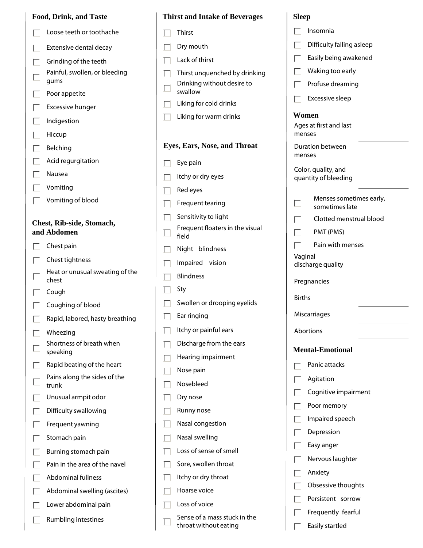| <b>Food, Drink, and Taste</b> |  |  |
|-------------------------------|--|--|
|                               |  |  |

- Loose teeth or toothache  $\Box$
- Extensive dental decay  $\Box$
- Grinding of the teeth  $\Box$
- Painful, swollen, or bleeding Г gums
- Poor appetite  $\Box$
- Excessive hunger
- П Indigestion
- $\Box$ Hiccup
- Belching П
- Acid regurgitation П
- П Nausea
- Vomiting Е
- Vomiting of blood  $\Box$

#### **Chest, Rib-side, Stomach, and Abdomen**

- Chest pain П
- Chest tightness  $\Box$
- Heat or unusual sweating of the  $\Box$ chest
- Cough  $\Box$
- Coughing of blood
- Rapid, labored, hasty breathing  $\Box$
- Wheezing П
- Shortness of breath when  $\Box$ speaking
- Rapid beating of the heart  $\Box$
- Pains along the sides of the  $\Box$ trunk
- Unusual armpit odor П
- Difficulty swallowing  $\Box$
- Frequent yawning  $\Box$
- Stomach pain П
- Burning stomach pain  $\Box$
- Pain in the area of the navel  $\Box$
- $\Box$ Abdominal fullness
- Abdominal swelling (ascites) Е
- Lower abdominal pain  $\Box$
- Rumbling intestines  $\Box$

| <b>Thirst and Intake of Beverages</b>    |
|------------------------------------------|
| Thirst                                   |
| Dry mouth                                |
| Lack of thirst                           |
| Thirst unquenched by drinking            |
| Drinking without desire to<br>swallow    |
| Liking for cold drinks                   |
| Liking for warm drinks                   |
| Eyes, Ears, Nose, and Throat             |
| Eye pain                                 |
| Itchy or dry eyes                        |
| Red eyes                                 |
| Frequent tearing                         |
| Sensitivity to light                     |
| Frequent floaters in the visual<br>field |
| Night blindness                          |
| Impaired vision                          |
| <b>Blindness</b>                         |
| Sty                                      |
| Swollen or drooping eyelids              |
| Ear ringing                              |
| Itchy or painful ears                    |
| Discharge from the ears                  |
| Hearing impairment                       |
| Nose pain                                |
| Nosebleed                                |
| Dry nose                                 |
| Runny nose                               |
| Nasal congestion                         |
| Nasal swelling                           |
| Loss of sense of smell                   |
| Sore, swollen throat                     |
| Itchy or dry throat                      |
| Hoarse voice                             |
| Loss of voice                            |

Sense of a mass stuck in the throat without eating

#### **Sleep**

| Insomnia                                    |  |  |
|---------------------------------------------|--|--|
| Difficulty falling asleep                   |  |  |
| Easily being awakened                       |  |  |
| Waking too early                            |  |  |
| Profuse dreaming                            |  |  |
| Excessive sleep                             |  |  |
| Women                                       |  |  |
| Ages at first and last<br>menses            |  |  |
| Duration between<br>menses                  |  |  |
| Color, quality, and<br>quantity of bleeding |  |  |
| Menses sometimes early,<br>sometimes late   |  |  |
| Clotted menstrual blood                     |  |  |
| PMT (PMS)                                   |  |  |
| Pain with menses                            |  |  |
| Vaginal<br>discharge quality                |  |  |
| Pregnancies                                 |  |  |
| <b>Births</b>                               |  |  |
| Miscarriages                                |  |  |
| Abortions                                   |  |  |
| <b>Mental-Emotional</b>                     |  |  |
| Panic attacks                               |  |  |
| Agitation                                   |  |  |
| Cognitive impairment                        |  |  |
| Poor memory                                 |  |  |
| Impaired speech                             |  |  |
| Depression                                  |  |  |
| Easy anger                                  |  |  |
| Nervous laughter                            |  |  |
| Anxiety                                     |  |  |
| Obsessive thoughts                          |  |  |
| Persistent sorrow                           |  |  |
| Frequently fearful                          |  |  |
| Easily startled                             |  |  |